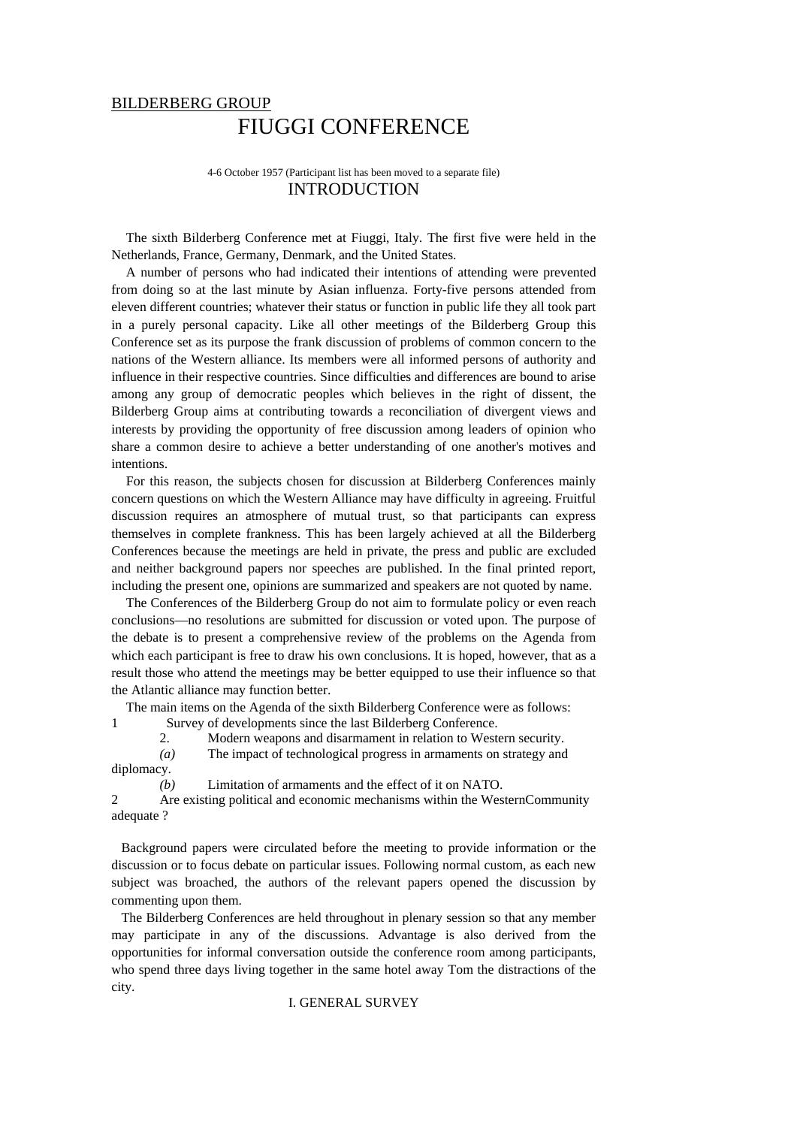# BILDERBERG GROUP FIUGGI CONFERENCE

4-6 October 1957 (Participant list has been moved to a separate file) INTRODUCTION

The sixth Bilderberg Conference met at Fiuggi, Italy. The first five were held in the Netherlands, France, Germany, Denmark, and the United States.

A number of persons who had indicated their intentions of attending were prevented from doing so at the last minute by Asian influenza. Forty-five persons attended from eleven different countries; whatever their status or function in public life they all took part in a purely personal capacity. Like all other meetings of the Bilderberg Group this Conference set as its purpose the frank discussion of problems of common concern to the nations of the Western alliance. Its members were all informed persons of authority and influence in their respective countries. Since difficulties and differences are bound to arise among any group of democratic peoples which believes in the right of dissent, the Bilderberg Group aims at contributing towards a reconciliation of divergent views and interests by providing the opportunity of free discussion among leaders of opinion who share a common desire to achieve a better understanding of one another's motives and intentions.

For this reason, the subjects chosen for discussion at Bilderberg Conferences mainly concern questions on which the Western Alliance may have difficulty in agreeing. Fruitful discussion requires an atmosphere of mutual trust, so that participants can express themselves in complete frankness. This has been largely achieved at all the Bilderberg Conferences because the meetings are held in private, the press and public are excluded and neither background papers nor speeches are published. In the final printed report, including the present one, opinions are summarized and speakers are not quoted by name.

The Conferences of the Bilderberg Group do not aim to formulate policy or even reach conclusions—no resolutions are submitted for discussion or voted upon. The purpose of the debate is to present a comprehensive review of the problems on the Agenda from which each participant is free to draw his own conclusions. It is hoped, however, that as a result those who attend the meetings may be better equipped to use their influence so that the Atlantic alliance may function better.

The main items on the Agenda of the sixth Bilderberg Conference were as follows: 1 Survey of developments since the last Bilderberg Conference.

2. Modern weapons and disarmament in relation to Western security.

*(a)* The impact of technological progress in armaments on strategy and diplomacy.

*(b)* Limitation of armaments and the effect of it on NATO.

2 Are existing political and economic mechanisms within the WesternCommunity adequate ?

Background papers were circulated before the meeting to provide information or the discussion or to focus debate on particular issues. Following normal custom, as each new subject was broached, the authors of the relevant papers opened the discussion by commenting upon them.

The Bilderberg Conferences are held throughout in plenary session so that any member may participate in any of the discussions. Advantage is also derived from the opportunities for informal conversation outside the conference room among participants, who spend three days living together in the same hotel away Tom the distractions of the city.

I. GENERAL SURVEY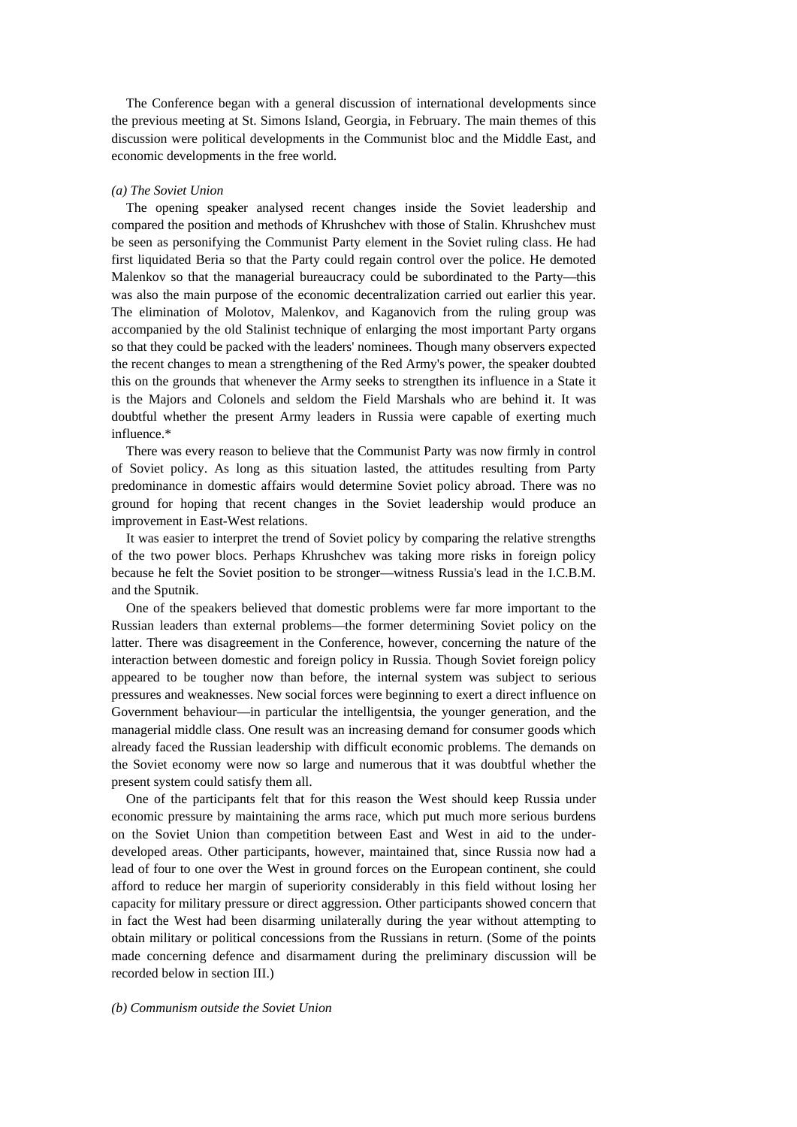The Conference began with a general discussion of international developments since the previous meeting at St. Simons Island, Georgia, in February. The main themes of this discussion were political developments in the Communist bloc and the Middle East, and economic developments in the free world.

#### *(a) The Soviet Union*

The opening speaker analysed recent changes inside the Soviet leadership and compared the position and methods of Khrushchev with those of Stalin. Khrushchev must be seen as personifying the Communist Party element in the Soviet ruling class. He had first liquidated Beria so that the Party could regain control over the police. He demoted Malenkov so that the managerial bureaucracy could be subordinated to the Party—this was also the main purpose of the economic decentralization carried out earlier this year. The elimination of Molotov, Malenkov, and Kaganovich from the ruling group was accompanied by the old Stalinist technique of enlarging the most important Party organs so that they could be packed with the leaders' nominees. Though many observers expected the recent changes to mean a strengthening of the Red Army's power, the speaker doubted this on the grounds that whenever the Army seeks to strengthen its influence in a State it is the Majors and Colonels and seldom the Field Marshals who are behind it. It was doubtful whether the present Army leaders in Russia were capable of exerting much influence.\*

There was every reason to believe that the Communist Party was now firmly in control of Soviet policy. As long as this situation lasted, the attitudes resulting from Party predominance in domestic affairs would determine Soviet policy abroad. There was no ground for hoping that recent changes in the Soviet leadership would produce an improvement in East-West relations.

It was easier to interpret the trend of Soviet policy by comparing the relative strengths of the two power blocs. Perhaps Khrushchev was taking more risks in foreign policy because he felt the Soviet position to be stronger—witness Russia's lead in the I.C.B.M. and the Sputnik.

One of the speakers believed that domestic problems were far more important to the Russian leaders than external problems—the former determining Soviet policy on the latter. There was disagreement in the Conference, however, concerning the nature of the interaction between domestic and foreign policy in Russia. Though Soviet foreign policy appeared to be tougher now than before, the internal system was subject to serious pressures and weaknesses. New social forces were beginning to exert a direct influence on Government behaviour—in particular the intelligentsia, the younger generation, and the managerial middle class. One result was an increasing demand for consumer goods which already faced the Russian leadership with difficult economic problems. The demands on the Soviet economy were now so large and numerous that it was doubtful whether the present system could satisfy them all.

One of the participants felt that for this reason the West should keep Russia under economic pressure by maintaining the arms race, which put much more serious burdens on the Soviet Union than competition between East and West in aid to the underdeveloped areas. Other participants, however, maintained that, since Russia now had a lead of four to one over the West in ground forces on the European continent, she could afford to reduce her margin of superiority considerably in this field without losing her capacity for military pressure or direct aggression. Other participants showed concern that in fact the West had been disarming unilaterally during the year without attempting to obtain military or political concessions from the Russians in return. (Some of the points made concerning defence and disarmament during the preliminary discussion will be recorded below in section III.)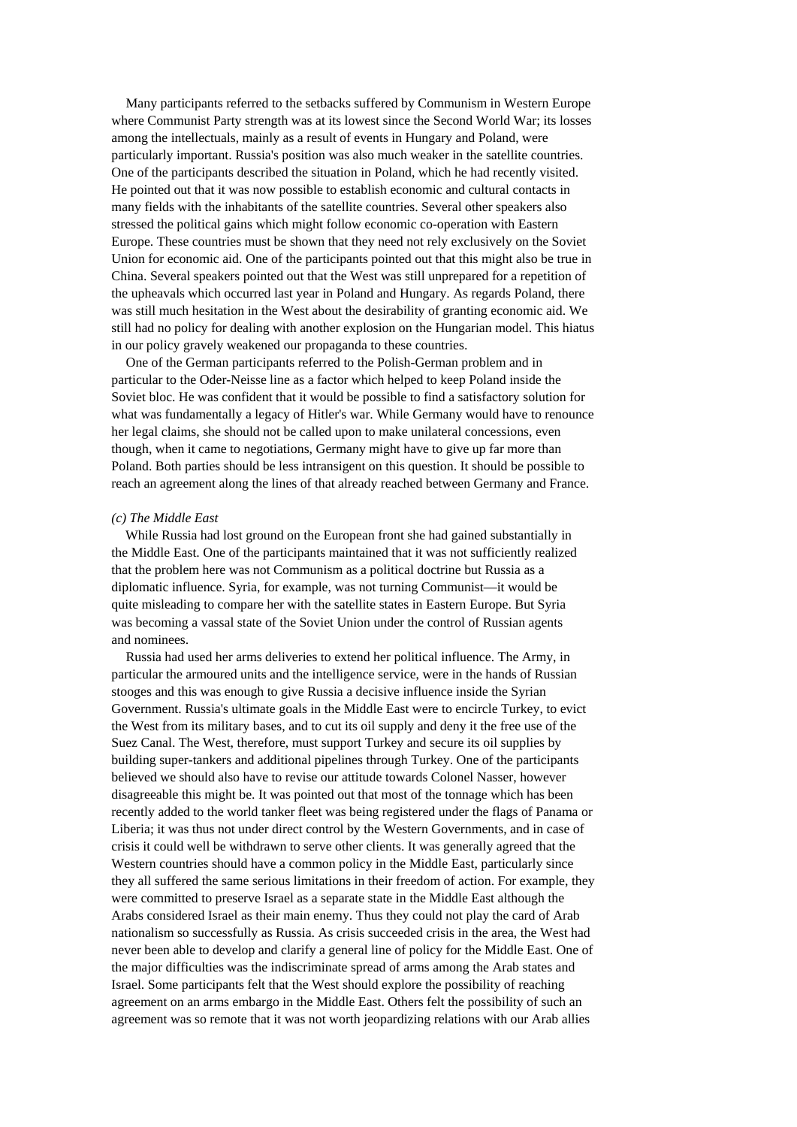Many participants referred to the setbacks suffered by Communism in Western Europe where Communist Party strength was at its lowest since the Second World War; its losses among the intellectuals, mainly as a result of events in Hungary and Poland, were particularly important. Russia's position was also much weaker in the satellite countries. One of the participants described the situation in Poland, which he had recently visited. He pointed out that it was now possible to establish economic and cultural contacts in many fields with the inhabitants of the satellite countries. Several other speakers also stressed the political gains which might follow economic co-operation with Eastern Europe. These countries must be shown that they need not rely exclusively on the Soviet Union for economic aid. One of the participants pointed out that this might also be true in China. Several speakers pointed out that the West was still unprepared for a repetition of the upheavals which occurred last year in Poland and Hungary. As regards Poland, there was still much hesitation in the West about the desirability of granting economic aid. We still had no policy for dealing with another explosion on the Hungarian model. This hiatus in our policy gravely weakened our propaganda to these countries.

One of the German participants referred to the Polish-German problem and in particular to the Oder-Neisse line as a factor which helped to keep Poland inside the Soviet bloc. He was confident that it would be possible to find a satisfactory solution for what was fundamentally a legacy of Hitler's war. While Germany would have to renounce her legal claims, she should not be called upon to make unilateral concessions, even though, when it came to negotiations, Germany might have to give up far more than Poland. Both parties should be less intransigent on this question. It should be possible to reach an agreement along the lines of that already reached between Germany and France.

## *(c) The Middle East*

While Russia had lost ground on the European front she had gained substantially in the Middle East. One of the participants maintained that it was not sufficiently realized that the problem here was not Communism as a political doctrine but Russia as a diplomatic influence. Syria, for example, was not turning Communist—it would be quite misleading to compare her with the satellite states in Eastern Europe. But Syria was becoming a vassal state of the Soviet Union under the control of Russian agents and nominees.

Russia had used her arms deliveries to extend her political influence. The Army, in particular the armoured units and the intelligence service, were in the hands of Russian stooges and this was enough to give Russia a decisive influence inside the Syrian Government. Russia's ultimate goals in the Middle East were to encircle Turkey, to evict the West from its military bases, and to cut its oil supply and deny it the free use of the Suez Canal. The West, therefore, must support Turkey and secure its oil supplies by building super-tankers and additional pipelines through Turkey. One of the participants believed we should also have to revise our attitude towards Colonel Nasser, however disagreeable this might be. It was pointed out that most of the tonnage which has been recently added to the world tanker fleet was being registered under the flags of Panama or Liberia; it was thus not under direct control by the Western Governments, and in case of crisis it could well be withdrawn to serve other clients. It was generally agreed that the Western countries should have a common policy in the Middle East, particularly since they all suffered the same serious limitations in their freedom of action. For example, they were committed to preserve Israel as a separate state in the Middle East although the Arabs considered Israel as their main enemy. Thus they could not play the card of Arab nationalism so successfully as Russia. As crisis succeeded crisis in the area, the West had never been able to develop and clarify a general line of policy for the Middle East. One of the major difficulties was the indiscriminate spread of arms among the Arab states and Israel. Some participants felt that the West should explore the possibility of reaching agreement on an arms embargo in the Middle East. Others felt the possibility of such an agreement was so remote that it was not worth jeopardizing relations with our Arab allies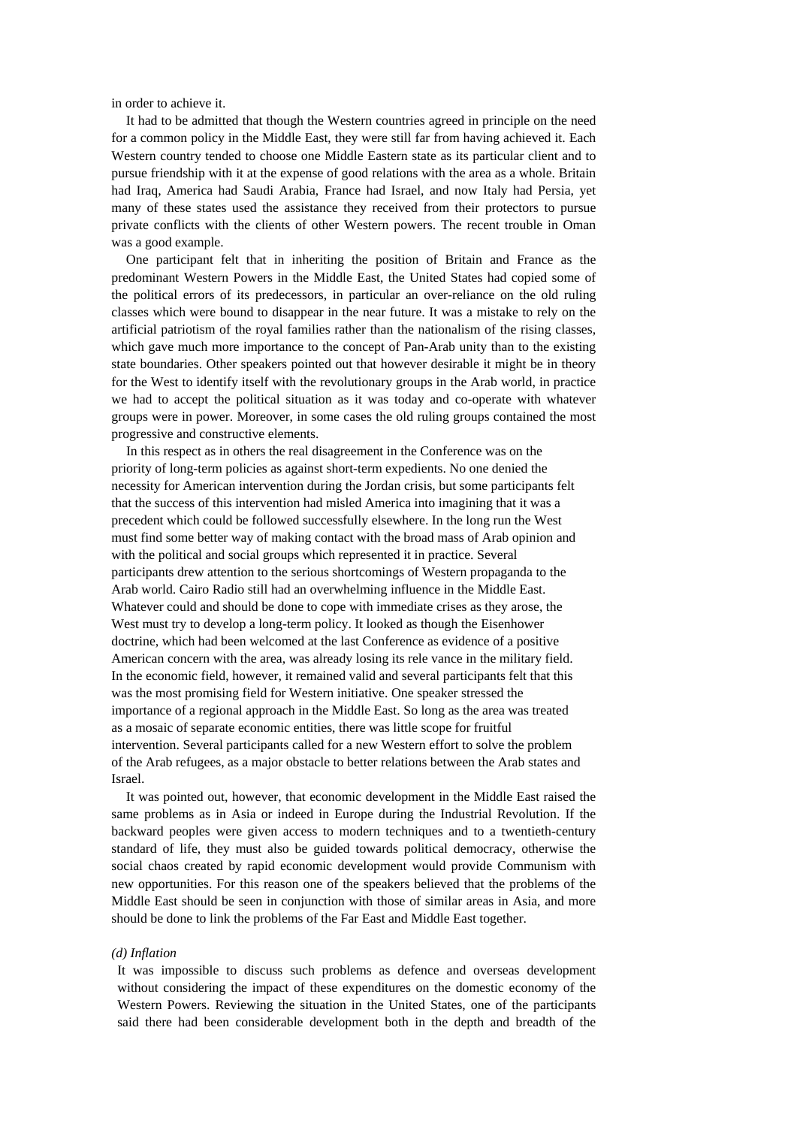in order to achieve it.

It had to be admitted that though the Western countries agreed in principle on the need for a common policy in the Middle East, they were still far from having achieved it. Each Western country tended to choose one Middle Eastern state as its particular client and to pursue friendship with it at the expense of good relations with the area as a whole. Britain had Iraq, America had Saudi Arabia, France had Israel, and now Italy had Persia, yet many of these states used the assistance they received from their protectors to pursue private conflicts with the clients of other Western powers. The recent trouble in Oman was a good example.

One participant felt that in inheriting the position of Britain and France as the predominant Western Powers in the Middle East, the United States had copied some of the political errors of its predecessors, in particular an over-reliance on the old ruling classes which were bound to disappear in the near future. It was a mistake to rely on the artificial patriotism of the royal families rather than the nationalism of the rising classes, which gave much more importance to the concept of Pan-Arab unity than to the existing state boundaries. Other speakers pointed out that however desirable it might be in theory for the West to identify itself with the revolutionary groups in the Arab world, in practice we had to accept the political situation as it was today and co-operate with whatever groups were in power. Moreover, in some cases the old ruling groups contained the most progressive and constructive elements.

In this respect as in others the real disagreement in the Conference was on the priority of long-term policies as against short-term expedients. No one denied the necessity for American intervention during the Jordan crisis, but some participants felt that the success of this intervention had misled America into imagining that it was a precedent which could be followed successfully elsewhere. In the long run the West must find some better way of making contact with the broad mass of Arab opinion and with the political and social groups which represented it in practice. Several participants drew attention to the serious shortcomings of Western propaganda to the Arab world. Cairo Radio still had an overwhelming influence in the Middle East. Whatever could and should be done to cope with immediate crises as they arose, the West must try to develop a long-term policy. It looked as though the Eisenhower doctrine, which had been welcomed at the last Conference as evidence of a positive American concern with the area, was already losing its rele vance in the military field. In the economic field, however, it remained valid and several participants felt that this was the most promising field for Western initiative. One speaker stressed the importance of a regional approach in the Middle East. So long as the area was treated as a mosaic of separate economic entities, there was little scope for fruitful intervention. Several participants called for a new Western effort to solve the problem of the Arab refugees, as a major obstacle to better relations between the Arab states and Israel.

It was pointed out, however, that economic development in the Middle East raised the same problems as in Asia or indeed in Europe during the Industrial Revolution. If the backward peoples were given access to modern techniques and to a twentieth-century standard of life, they must also be guided towards political democracy, otherwise the social chaos created by rapid economic development would provide Communism with new opportunities. For this reason one of the speakers believed that the problems of the Middle East should be seen in conjunction with those of similar areas in Asia, and more should be done to link the problems of the Far East and Middle East together.

#### *(d) Inflation*

It was impossible to discuss such problems as defence and overseas development without considering the impact of these expenditures on the domestic economy of the Western Powers. Reviewing the situation in the United States, one of the participants said there had been considerable development both in the depth and breadth of the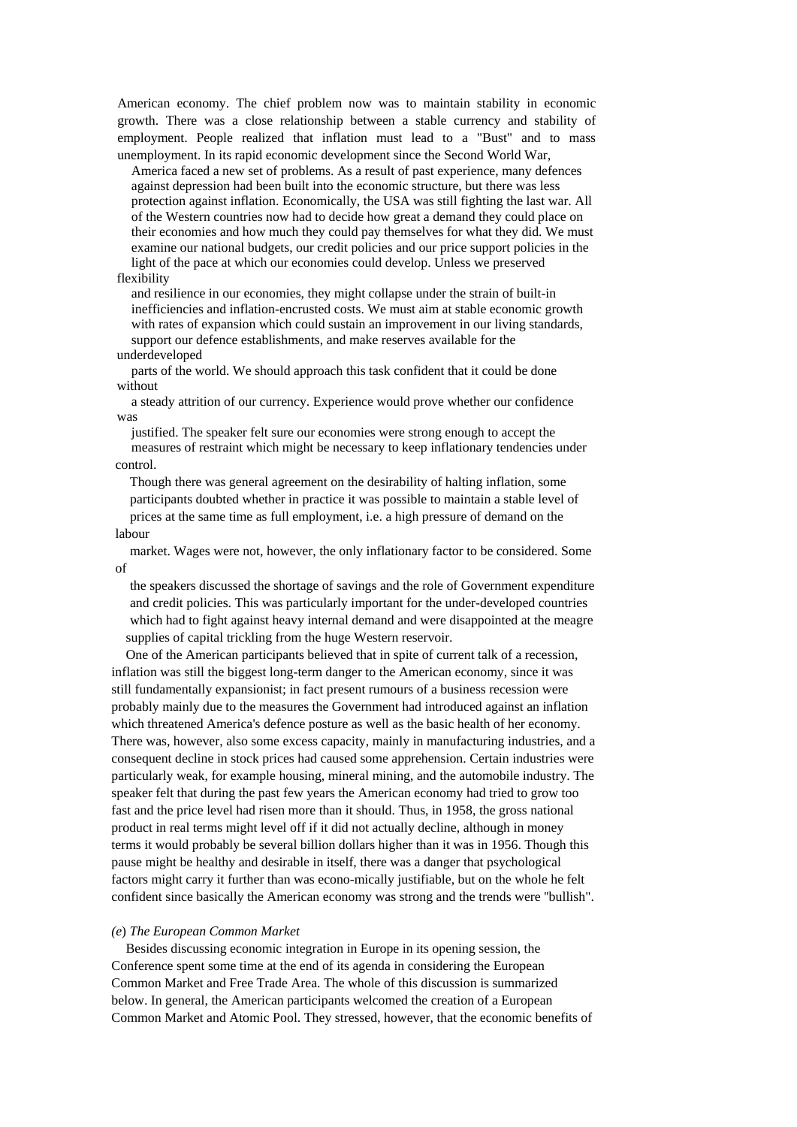American economy. The chief problem now was to maintain stability in economic growth. There was a close relationship between a stable currency and stability of employment. People realized that inflation must lead to a "Bust" and to mass unemployment. In its rapid economic development since the Second World War,

America faced a new set of problems. As a result of past experience, many defences against depression had been built into the economic structure, but there was less protection against inflation. Economically, the USA was still fighting the last war. All of the Western countries now had to decide how great a demand they could place on their economies and how much they could pay themselves for what they did. We must examine our national budgets, our credit policies and our price support policies in the light of the pace at which our economies could develop. Unless we preserved

## flexibility

and resilience in our economies, they might collapse under the strain of built-in inefficiencies and inflation-encrusted costs. We must aim at stable economic growth with rates of expansion which could sustain an improvement in our living standards, support our defence establishments, and make reserves available for the underdeveloped

parts of the world. We should approach this task confident that it could be done without

a steady attrition of our currency. Experience would prove whether our confidence was

justified. The speaker felt sure our economies were strong enough to accept the measures of restraint which might be necessary to keep inflationary tendencies under control.

Though there was general agreement on the desirability of halting inflation, some participants doubted whether in practice it was possible to maintain a stable level of prices at the same time as full employment, i.e. a high pressure of demand on the labour

market. Wages were not, however, the only inflationary factor to be considered. Some of

the speakers discussed the shortage of savings and the role of Government expenditure and credit policies. This was particularly important for the under-developed countries which had to fight against heavy internal demand and were disappointed at the meagre supplies of capital trickling from the huge Western reservoir.

One of the American participants believed that in spite of current talk of a recession, inflation was still the biggest long-term danger to the American economy, since it was still fundamentally expansionist; in fact present rumours of a business recession were probably mainly due to the measures the Government had introduced against an inflation which threatened America's defence posture as well as the basic health of her economy. There was, however, also some excess capacity, mainly in manufacturing industries, and a consequent decline in stock prices had caused some apprehension. Certain industries were particularly weak, for example housing, mineral mining, and the automobile industry. The speaker felt that during the past few years the American economy had tried to grow too fast and the price level had risen more than it should. Thus, in 1958, the gross national product in real terms might level off if it did not actually decline, although in money terms it would probably be several billion dollars higher than it was in 1956. Though this pause might be healthy and desirable in itself, there was a danger that psychological factors might carry it further than was econo-mically justifiable, but on the whole he felt confident since basically the American economy was strong and the trends were ''bullish".

### *(e*) *The European Common Market*

Besides discussing economic integration in Europe in its opening session, the Conference spent some time at the end of its agenda in considering the European Common Market and Free Trade Area. The whole of this discussion is summarized below. In general, the American participants welcomed the creation of a European Common Market and Atomic Pool. They stressed, however, that the economic benefits of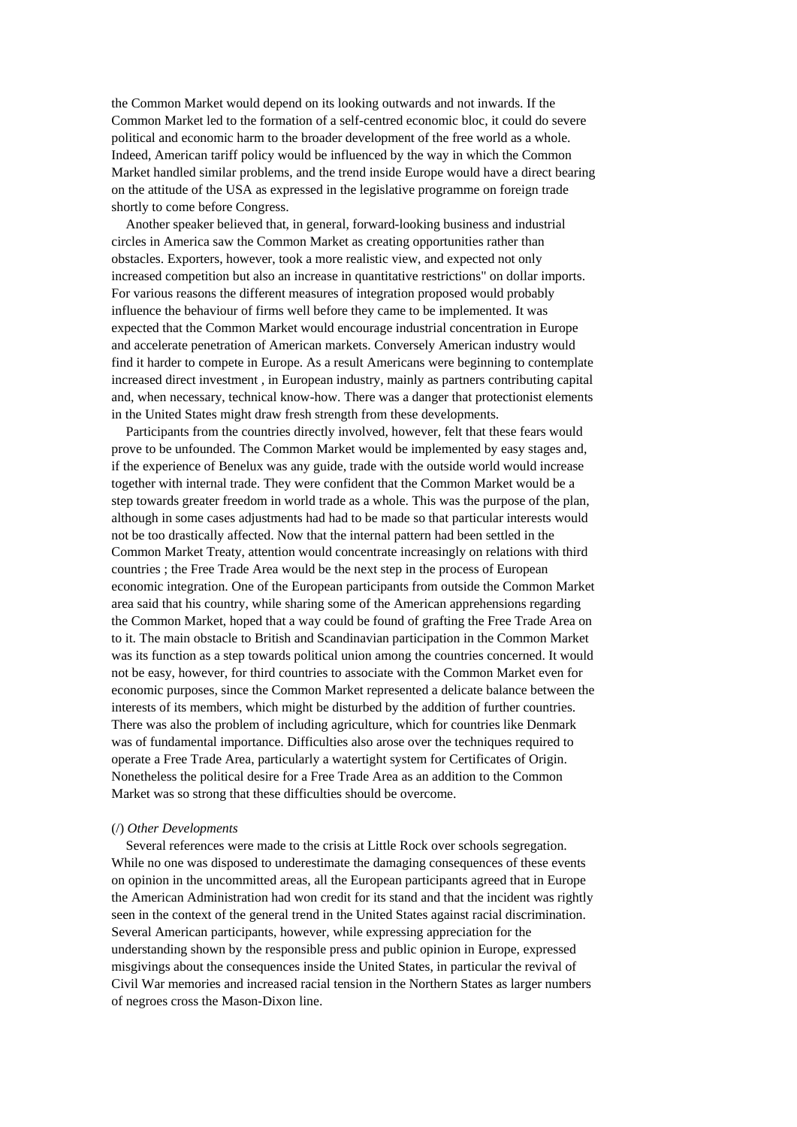the Common Market would depend on its looking outwards and not inwards. If the Common Market led to the formation of a self-centred economic bloc, it could do severe political and economic harm to the broader development of the free world as a whole. Indeed, American tariff policy would be influenced by the way in which the Common Market handled similar problems, and the trend inside Europe would have a direct bearing on the attitude of the USA as expressed in the legislative programme on foreign trade shortly to come before Congress.

Another speaker believed that, in general, forward-looking business and industrial circles in America saw the Common Market as creating opportunities rather than obstacles. Exporters, however, took a more realistic view, and expected not only increased competition but also an increase in quantitative restrictions" on dollar imports. For various reasons the different measures of integration proposed would probably influence the behaviour of firms well before they came to be implemented. It was expected that the Common Market would encourage industrial concentration in Europe and accelerate penetration of American markets. Conversely American industry would find it harder to compete in Europe. As a result Americans were beginning to contemplate increased direct investment *,* in European industry, mainly as partners contributing capital and, when necessary, technical know-how. There was a danger that protectionist elements in the United States might draw fresh strength from these developments.

Participants from the countries directly involved, however, felt that these fears would prove to be unfounded. The Common Market would be implemented by easy stages and, if the experience of Benelux was any guide, trade with the outside world would increase together with internal trade. They were confident that the Common Market would be a step towards greater freedom in world trade as a whole. This was the purpose of the plan, although in some cases adjustments had had to be made so that particular interests would not be too drastically affected. Now that the internal pattern had been settled in the Common Market Treaty, attention would concentrate increasingly on relations with third countries ; the Free Trade Area would be the next step in the process of European economic integration. One of the European participants from outside the Common Market area said that his country, while sharing some of the American apprehensions regarding the Common Market, hoped that a way could be found of grafting the Free Trade Area on to it. The main obstacle to British and Scandinavian participation in the Common Market was its function as a step towards political union among the countries concerned. It would not be easy, however, for third countries to associate with the Common Market even for economic purposes, since the Common Market represented a delicate balance between the interests of its members, which might be disturbed by the addition of further countries. There was also the problem of including agriculture, which for countries like Denmark was of fundamental importance. Difficulties also arose over the techniques required to operate a Free Trade Area, particularly a watertight system for Certificates of Origin. Nonetheless the political desire for a Free Trade Area as an addition to the Common Market was so strong that these difficulties should be overcome.

### (/) *Other Developments*

Several references were made to the crisis at Little Rock over schools segregation. While no one was disposed to underestimate the damaging consequences of these events on opinion in the uncommitted areas, all the European participants agreed that in Europe the American Administration had won credit for its stand and that the incident was rightly seen in the context of the general trend in the United States against racial discrimination. Several American participants, however, while expressing appreciation for the understanding shown by the responsible press and public opinion in Europe, expressed misgivings about the consequences inside the United States, in particular the revival of Civil War memories and increased racial tension in the Northern States as larger numbers of negroes cross the Mason-Dixon line.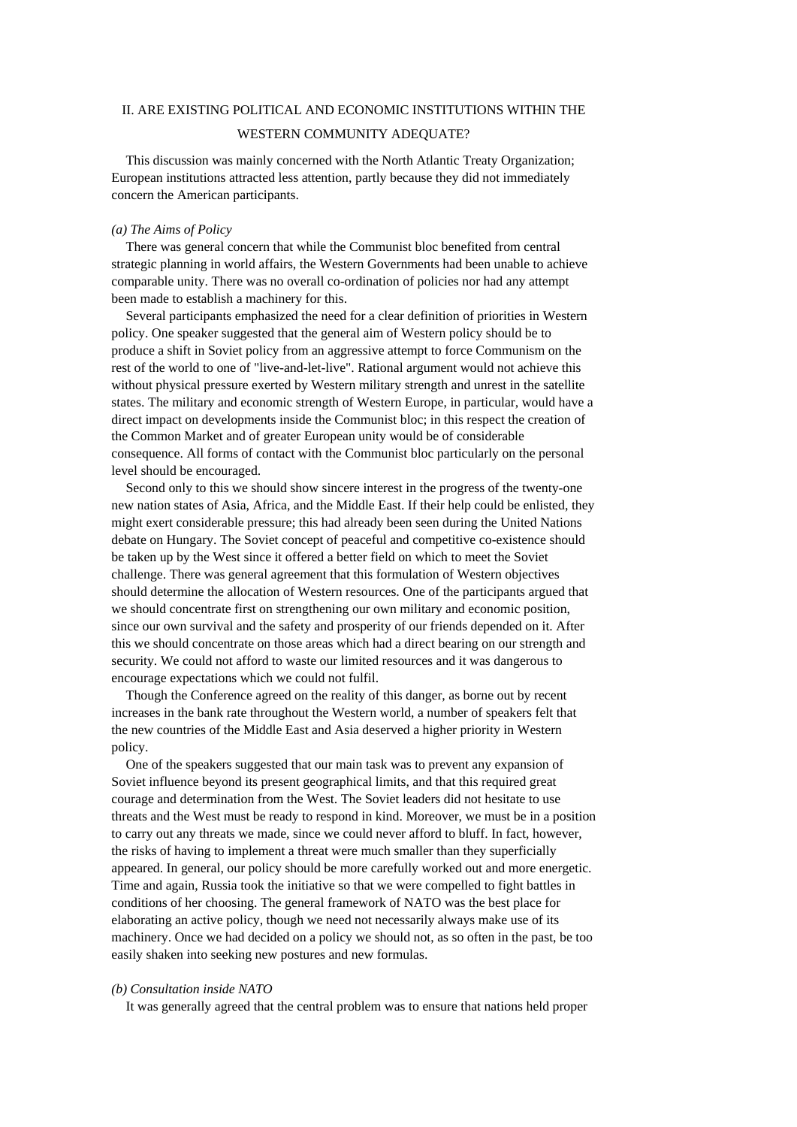# II. ARE EXISTING POLITICAL AND ECONOMIC INSTITUTIONS WITHIN THE

## WESTERN COMMUNITY ADEQUATE?

This discussion was mainly concerned with the North Atlantic Treaty Organization; European institutions attracted less attention, partly because they did not immediately concern the American participants.

## *(a) The Aims of Policy*

There was general concern that while the Communist bloc benefited from central strategic planning in world affairs, the Western Governments had been unable to achieve comparable unity. There was no overall co-ordination of policies nor had any attempt been made to establish a machinery for this.

Several participants emphasized the need for a clear definition of priorities in Western policy. One speaker suggested that the general aim of Western policy should be to produce a shift in Soviet policy from an aggressive attempt to force Communism on the rest of the world to one of "live-and-let-live". Rational argument would not achieve this without physical pressure exerted by Western military strength and unrest in the satellite states. The military and economic strength of Western Europe, in particular, would have a direct impact on developments inside the Communist bloc; in this respect the creation of the Common Market and of greater European unity would be of considerable consequence. All forms of contact with the Communist bloc particularly on the personal level should be encouraged.

Second only to this we should show sincere interest in the progress of the twenty-one new nation states of Asia, Africa, and the Middle East. If their help could be enlisted, they might exert considerable pressure; this had already been seen during the United Nations debate on Hungary. The Soviet concept of peaceful and competitive co-existence should be taken up by the West since it offered a better field on which to meet the Soviet challenge. There was general agreement that this formulation of Western objectives should determine the allocation of Western resources. One of the participants argued that we should concentrate first on strengthening our own military and economic position, since our own survival and the safety and prosperity of our friends depended on it. After this we should concentrate on those areas which had a direct bearing on our strength and security. We could not afford to waste our limited resources and it was dangerous to encourage expectations which we could not fulfil.

Though the Conference agreed on the reality of this danger, as borne out by recent increases in the bank rate throughout the Western world, a number of speakers felt that the new countries of the Middle East and Asia deserved a higher priority in Western policy.

One of the speakers suggested that our main task was to prevent any expansion of Soviet influence beyond its present geographical limits, and that this required great courage and determination from the West. The Soviet leaders did not hesitate to use threats and the West must be ready to respond in kind. Moreover, we must be in a position to carry out any threats we made, since we could never afford to bluff. In fact, however, the risks of having to implement a threat were much smaller than they superficially appeared. In general, our policy should be more carefully worked out and more energetic. Time and again, Russia took the initiative so that we were compelled to fight battles in conditions of her choosing. The general framework of NATO was the best place for elaborating an active policy, though we need not necessarily always make use of its machinery. Once we had decided on a policy we should not, as so often in the past, be too easily shaken into seeking new postures and new formulas.

## *(b) Consultation inside NATO*

It was generally agreed that the central problem was to ensure that nations held proper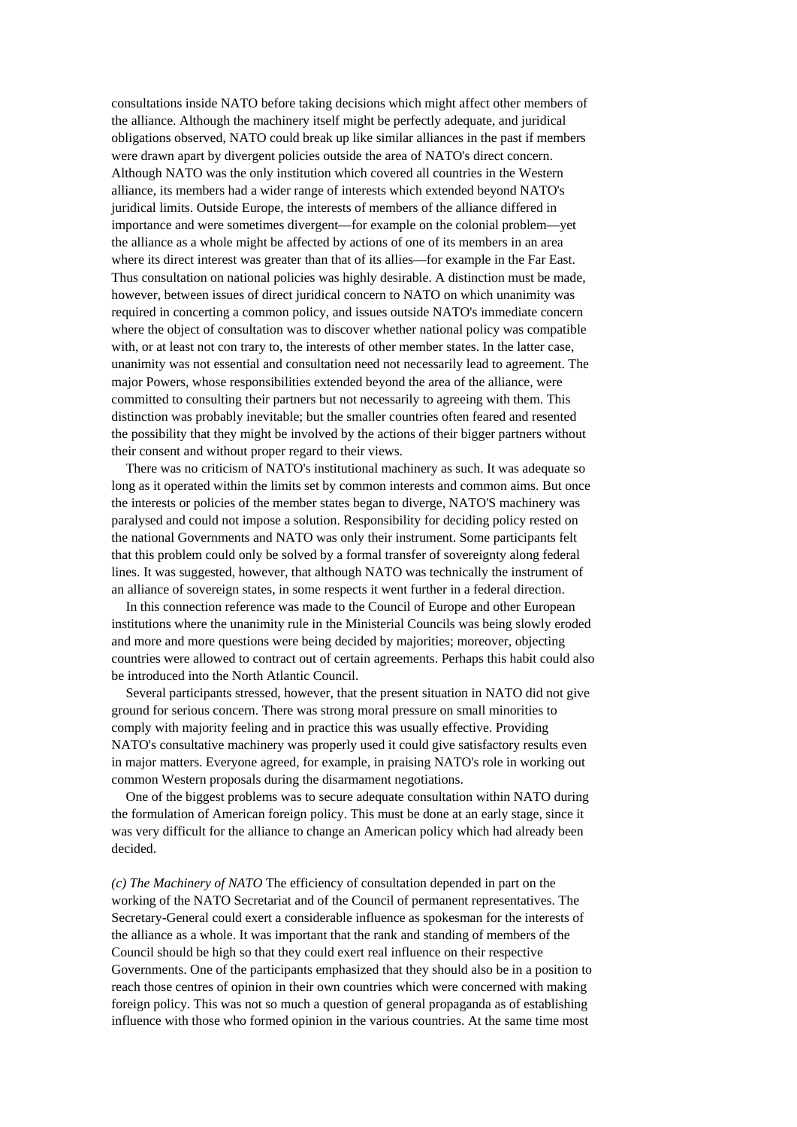consultations inside NATO before taking decisions which might affect other members of the alliance. Although the machinery itself might be perfectly adequate, and juridical obligations observed, NATO could break up like similar alliances in the past if members were drawn apart by divergent policies outside the area of NATO's direct concern. Although NATO was the only institution which covered all countries in the Western alliance, its members had a wider range of interests which extended beyond NATO's juridical limits. Outside Europe, the interests of members of the alliance differed in importance and were sometimes divergent—for example on the colonial problem—yet the alliance as a whole might be affected by actions of one of its members in an area where its direct interest was greater than that of its allies—for example in the Far East. Thus consultation on national policies was highly desirable. A distinction must be made, however, between issues of direct juridical concern to NATO on which unanimity was required in concerting a common policy, and issues outside NATO's immediate concern where the object of consultation was to discover whether national policy was compatible with, or at least not con trary to, the interests of other member states. In the latter case, unanimity was not essential and consultation need not necessarily lead to agreement. The major Powers, whose responsibilities extended beyond the area of the alliance, were committed to consulting their partners but not necessarily to agreeing with them. This distinction was probably inevitable; but the smaller countries often feared and resented the possibility that they might be involved by the actions of their bigger partners without their consent and without proper regard to their views.

There was no criticism of NATO's institutional machinery as such. It was adequate so long as it operated within the limits set by common interests and common aims. But once the interests or policies of the member states began to diverge, NATO'S machinery was paralysed and could not impose a solution. Responsibility for deciding policy rested on the national Governments and NATO was only their instrument. Some participants felt that this problem could only be solved by a formal transfer of sovereignty along federal lines. It was suggested, however, that although NATO was technically the instrument of an alliance of sovereign states, in some respects it went further in a federal direction.

In this connection reference was made to the Council of Europe and other European institutions where the unanimity rule in the Ministerial Councils was being slowly eroded and more and more questions were being decided by majorities; moreover, objecting countries were allowed to contract out of certain agreements. Perhaps this habit could also be introduced into the North Atlantic Council.

Several participants stressed, however, that the present situation in NATO did not give ground for serious concern. There was strong moral pressure on small minorities to comply with majority feeling and in practice this was usually effective. Providing NATO's consultative machinery was properly used it could give satisfactory results even in major matters. Everyone agreed, for example, in praising NATO's role in working out common Western proposals during the disarmament negotiations.

One of the biggest problems was to secure adequate consultation within NATO during the formulation of American foreign policy. This must be done at an early stage, since it was very difficult for the alliance to change an American policy which had already been decided.

*(c) The Machinery of NATO* The efficiency of consultation depended in part on the working of the NATO Secretariat and of the Council of permanent representatives. The Secretary-General could exert a considerable influence as spokesman for the interests of the alliance as a whole. It was important that the rank and standing of members of the Council should be high so that they could exert real influence on their respective Governments. One of the participants emphasized that they should also be in a position to reach those centres of opinion in their own countries which were concerned with making foreign policy. This was not so much a question of general propaganda as of establishing influence with those who formed opinion in the various countries. At the same time most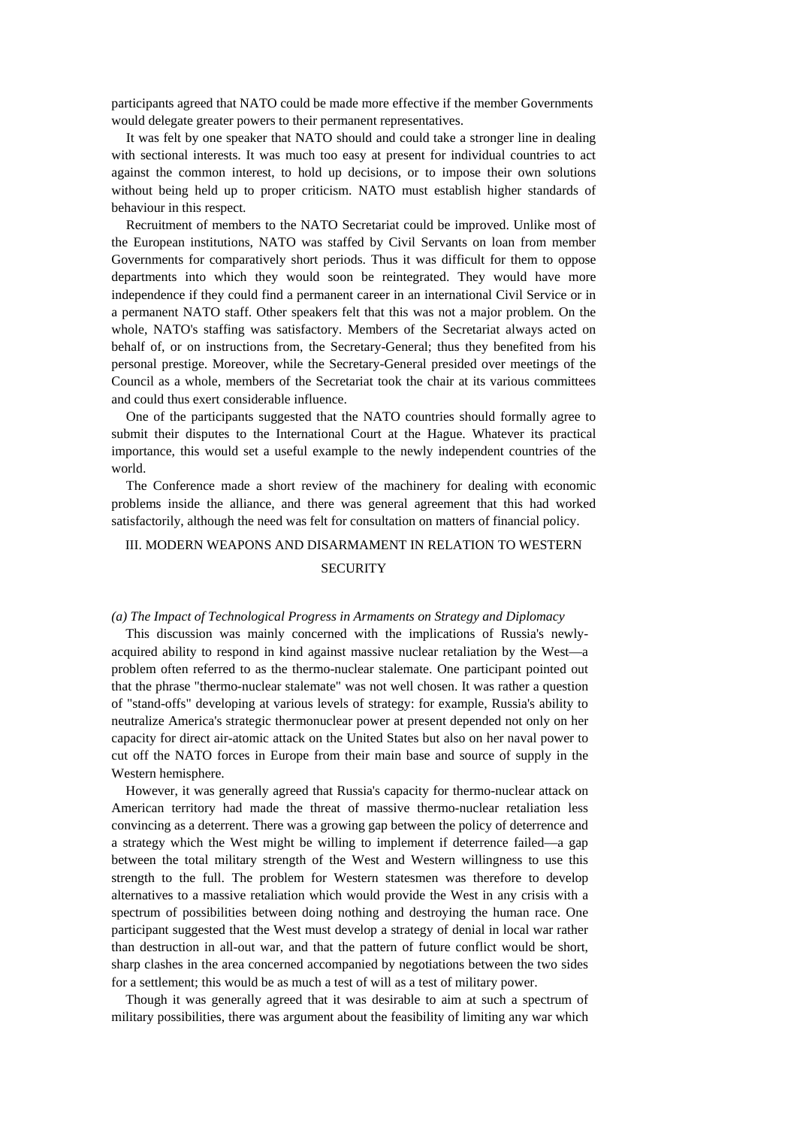participants agreed that NATO could be made more effective if the member Governments would delegate greater powers to their permanent representatives.

It was felt by one speaker that NATO should and could take a stronger line in dealing with sectional interests. It was much too easy at present for individual countries to act against the common interest, to hold up decisions, or to impose their own solutions without being held up to proper criticism. NATO must establish higher standards of behaviour in this respect.

Recruitment of members to the NATO Secretariat could be improved. Unlike most of the European institutions, NATO was staffed by Civil Servants on loan from member Governments for comparatively short periods. Thus it was difficult for them to oppose departments into which they would soon be reintegrated. They would have more independence if they could find a permanent career in an international Civil Service or in a permanent NATO staff. Other speakers felt that this was not a major problem. On the whole, NATO's staffing was satisfactory. Members of the Secretariat always acted on behalf of, or on instructions from, the Secretary-General; thus they benefited from his personal prestige. Moreover, while the Secretary-General presided over meetings of the Council as a whole, members of the Secretariat took the chair at its various committees and could thus exert considerable influence.

One of the participants suggested that the NATO countries should formally agree to submit their disputes to the International Court at the Hague. Whatever its practical importance, this would set a useful example to the newly independent countries of the world.

The Conference made a short review of the machinery for dealing with economic problems inside the alliance, and there was general agreement that this had worked satisfactorily, although the need was felt for consultation on matters of financial policy.

#### III. MODERN WEAPONS AND DISARMAMENT IN RELATION TO WESTERN

# **SECURITY**

#### *(a) The Impact of Technological Progress in Armaments on Strategy and Diplomacy*

This discussion was mainly concerned with the implications of Russia's newlyacquired ability to respond in kind against massive nuclear retaliation by the West—a problem often referred to as the thermo-nuclear stalemate. One participant pointed out that the phrase "thermo-nuclear stalemate" was not well chosen. It was rather a question of "stand-offs" developing at various levels of strategy: for example, Russia's ability to neutralize America's strategic thermonuclear power at present depended not only on her capacity for direct air-atomic attack on the United States but also on her naval power to cut off the NATO forces in Europe from their main base and source of supply in the Western hemisphere.

However, it was generally agreed that Russia's capacity for thermo-nuclear attack on American territory had made the threat of massive thermo-nuclear retaliation less convincing as a deterrent. There was a growing gap between the policy of deterrence and a strategy which the West might be willing to implement if deterrence failed—a gap between the total military strength of the West and Western willingness to use this strength to the full. The problem for Western statesmen was therefore to develop alternatives to a massive retaliation which would provide the West in any crisis with a spectrum of possibilities between doing nothing and destroying the human race. One participant suggested that the West must develop a strategy of denial in local war rather than destruction in all-out war, and that the pattern of future conflict would be short, sharp clashes in the area concerned accompanied by negotiations between the two sides for a settlement; this would be as much a test of will as a test of military power.

Though it was generally agreed that it was desirable to aim at such a spectrum of military possibilities, there was argument about the feasibility of limiting any war which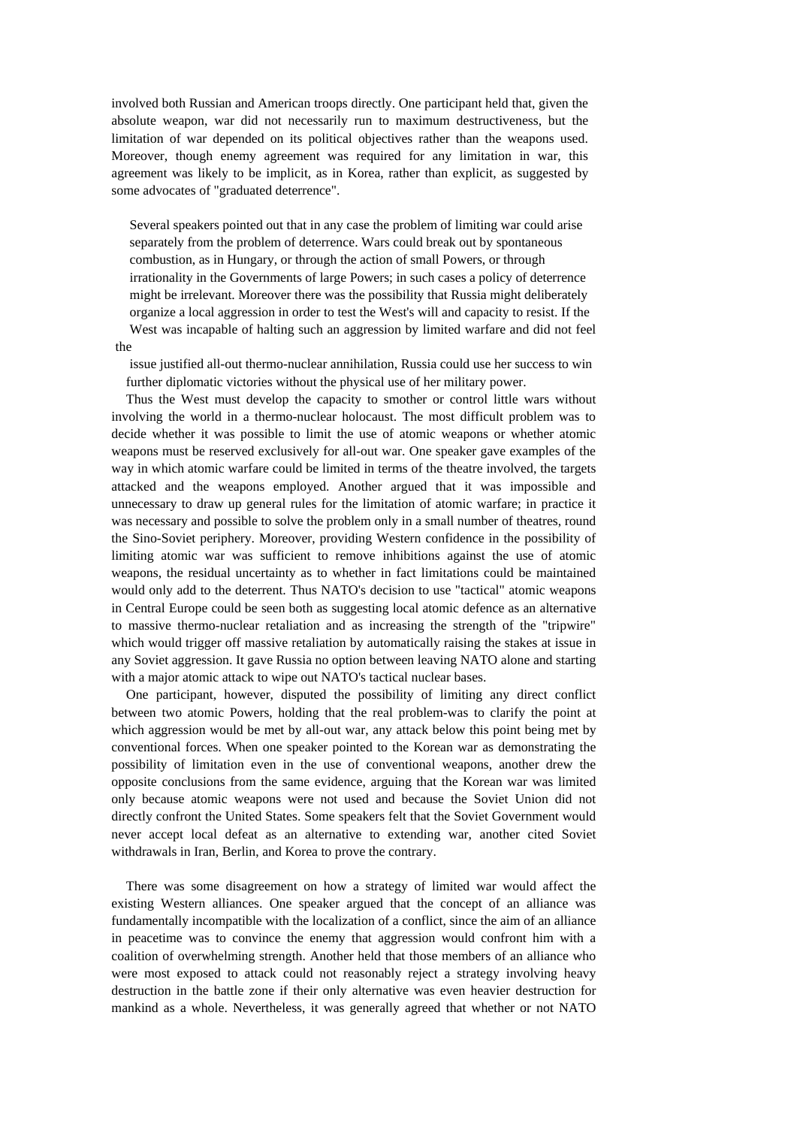involved both Russian and American troops directly. One participant held that, given the absolute weapon, war did not necessarily run to maximum destructiveness, but the limitation of war depended on its political objectives rather than the weapons used. Moreover, though enemy agreement was required for any limitation in war, this agreement was likely to be implicit, as in Korea, rather than explicit, as suggested by some advocates of "graduated deterrence".

Several speakers pointed out that in any case the problem of limiting war could arise separately from the problem of deterrence. Wars could break out by spontaneous combustion, as in Hungary, or through the action of small Powers, or through irrationality in the Governments of large Powers; in such cases a policy of deterrence might be irrelevant. Moreover there was the possibility that Russia might deliberately organize a local aggression in order to test the West's will and capacity to resist. If the West was incapable of halting such an aggression by limited warfare and did not feel

the

issue justified all-out thermo-nuclear annihilation, Russia could use her success to win further diplomatic victories without the physical use of her military power.

Thus the West must develop the capacity to smother or control little wars without involving the world in a thermo-nuclear holocaust. The most difficult problem was to decide whether it was possible to limit the use of atomic weapons or whether atomic weapons must be reserved exclusively for all-out war. One speaker gave examples of the way in which atomic warfare could be limited in terms of the theatre involved, the targets attacked and the weapons employed. Another argued that it was impossible and unnecessary to draw up general rules for the limitation of atomic warfare; in practice it was necessary and possible to solve the problem only in a small number of theatres, round the Sino-Soviet periphery. Moreover, providing Western confidence in the possibility of limiting atomic war was sufficient to remove inhibitions against the use of atomic weapons, the residual uncertainty as to whether in fact limitations could be maintained would only add to the deterrent. Thus NATO's decision to use "tactical" atomic weapons in Central Europe could be seen both as suggesting local atomic defence as an alternative to massive thermo-nuclear retaliation and as increasing the strength of the "tripwire" which would trigger off massive retaliation by automatically raising the stakes at issue in any Soviet aggression. It gave Russia no option between leaving NATO alone and starting with a major atomic attack to wipe out NATO's tactical nuclear bases.

One participant, however, disputed the possibility of limiting any direct conflict between two atomic Powers, holding that the real problem-was to clarify the point at which aggression would be met by all-out war, any attack below this point being met by conventional forces. When one speaker pointed to the Korean war as demonstrating the possibility of limitation even in the use of conventional weapons, another drew the opposite conclusions from the same evidence, arguing that the Korean war was limited only because atomic weapons were not used and because the Soviet Union did not directly confront the United States. Some speakers felt that the Soviet Government would never accept local defeat as an alternative to extending war, another cited Soviet withdrawals in Iran, Berlin, and Korea to prove the contrary.

There was some disagreement on how a strategy of limited war would affect the existing Western alliances. One speaker argued that the concept of an alliance was fundamentally incompatible with the localization of a conflict, since the aim of an alliance in peacetime was to convince the enemy that aggression would confront him with a coalition of overwhelming strength. Another held that those members of an alliance who were most exposed to attack could not reasonably reject a strategy involving heavy destruction in the battle zone if their only alternative was even heavier destruction for mankind as a whole. Nevertheless, it was generally agreed that whether or not NATO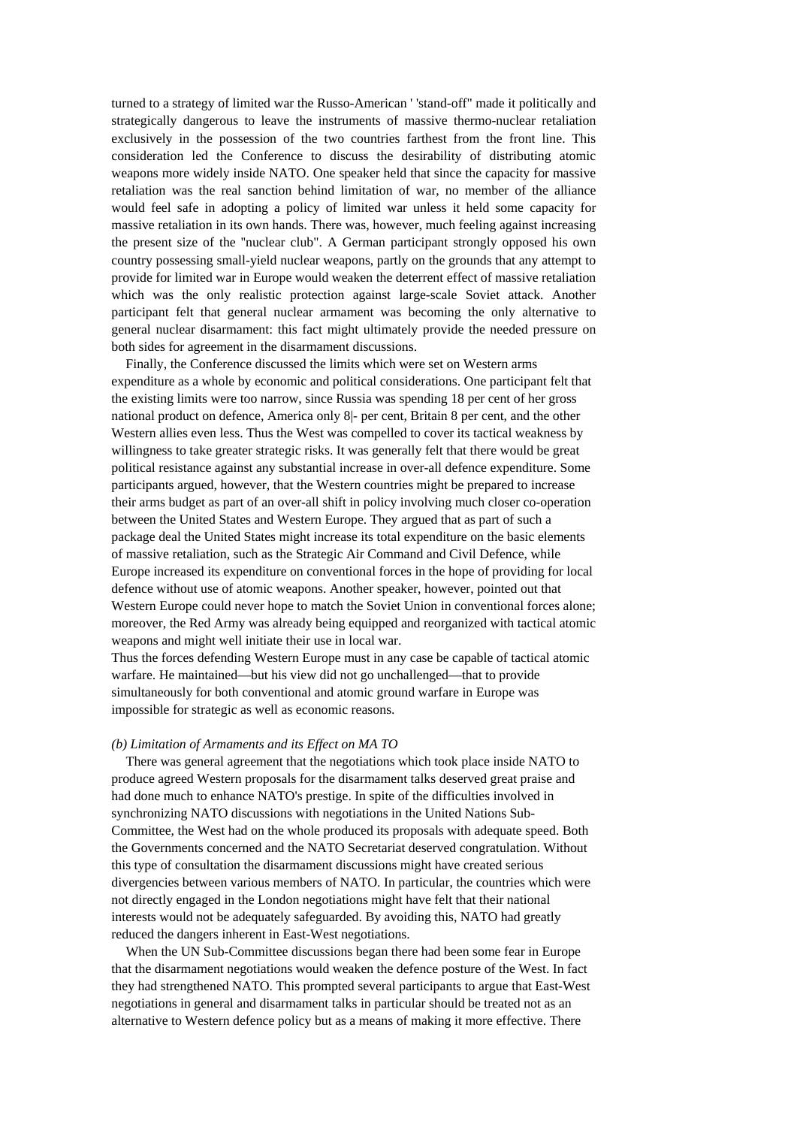turned to a strategy of limited war the Russo-American ' 'stand-off" made it politically and strategically dangerous to leave the instruments of massive thermo-nuclear retaliation exclusively in the possession of the two countries farthest from the front line. This consideration led the Conference to discuss the desirability of distributing atomic weapons more widely inside NATO. One speaker held that since the capacity for massive retaliation was the real sanction behind limitation of war, no member of the alliance would feel safe in adopting a policy of limited war unless it held some capacity for massive retaliation in its own hands. There was, however, much feeling against increasing the present size of the ''nuclear club". A German participant strongly opposed his own country possessing small-yield nuclear weapons, partly on the grounds that any attempt to provide for limited war in Europe would weaken the deterrent effect of massive retaliation which was the only realistic protection against large-scale Soviet attack. Another participant felt that general nuclear armament was becoming the only alternative to general nuclear disarmament: this fact might ultimately provide the needed pressure on both sides for agreement in the disarmament discussions.

Finally, the Conference discussed the limits which were set on Western arms expenditure as a whole by economic and political considerations. One participant felt that the existing limits were too narrow, since Russia was spending 18 per cent of her gross national product on defence, America only 8|- per cent, Britain 8 per cent, and the other Western allies even less. Thus the West was compelled to cover its tactical weakness by willingness to take greater strategic risks. It was generally felt that there would be great political resistance against any substantial increase in over-all defence expenditure. Some participants argued, however, that the Western countries might be prepared to increase their arms budget as part of an over-all shift in policy involving much closer co-operation between the United States and Western Europe. They argued that as part of such a package deal the United States might increase its total expenditure on the basic elements of massive retaliation, such as the Strategic Air Command and Civil Defence, while Europe increased its expenditure on conventional forces in the hope of providing for local defence without use of atomic weapons. Another speaker, however, pointed out that Western Europe could never hope to match the Soviet Union in conventional forces alone; moreover, the Red Army was already being equipped and reorganized with tactical atomic weapons and might well initiate their use in local war.

Thus the forces defending Western Europe must in any case be capable of tactical atomic warfare. He maintained—but his view did not go unchallenged—that to provide simultaneously for both conventional and atomic ground warfare in Europe was impossible for strategic as well as economic reasons.

## *(b) Limitation of Armaments and its Effect on MA TO*

There was general agreement that the negotiations which took place inside NATO to produce agreed Western proposals for the disarmament talks deserved great praise and had done much to enhance NATO's prestige. In spite of the difficulties involved in synchronizing NATO discussions with negotiations in the United Nations Sub-Committee, the West had on the whole produced its proposals with adequate speed. Both the Governments concerned and the NATO Secretariat deserved congratulation. Without this type of consultation the disarmament discussions might have created serious divergencies between various members of NATO. In particular, the countries which were not directly engaged in the London negotiations might have felt that their national interests would not be adequately safeguarded. By avoiding this, NATO had greatly reduced the dangers inherent in East-West negotiations.

When the UN Sub-Committee discussions began there had been some fear in Europe that the disarmament negotiations would weaken the defence posture of the West. In fact they had strengthened NATO. This prompted several participants to argue that East-West negotiations in general and disarmament talks in particular should be treated not as an alternative to Western defence policy but as a means of making it more effective. There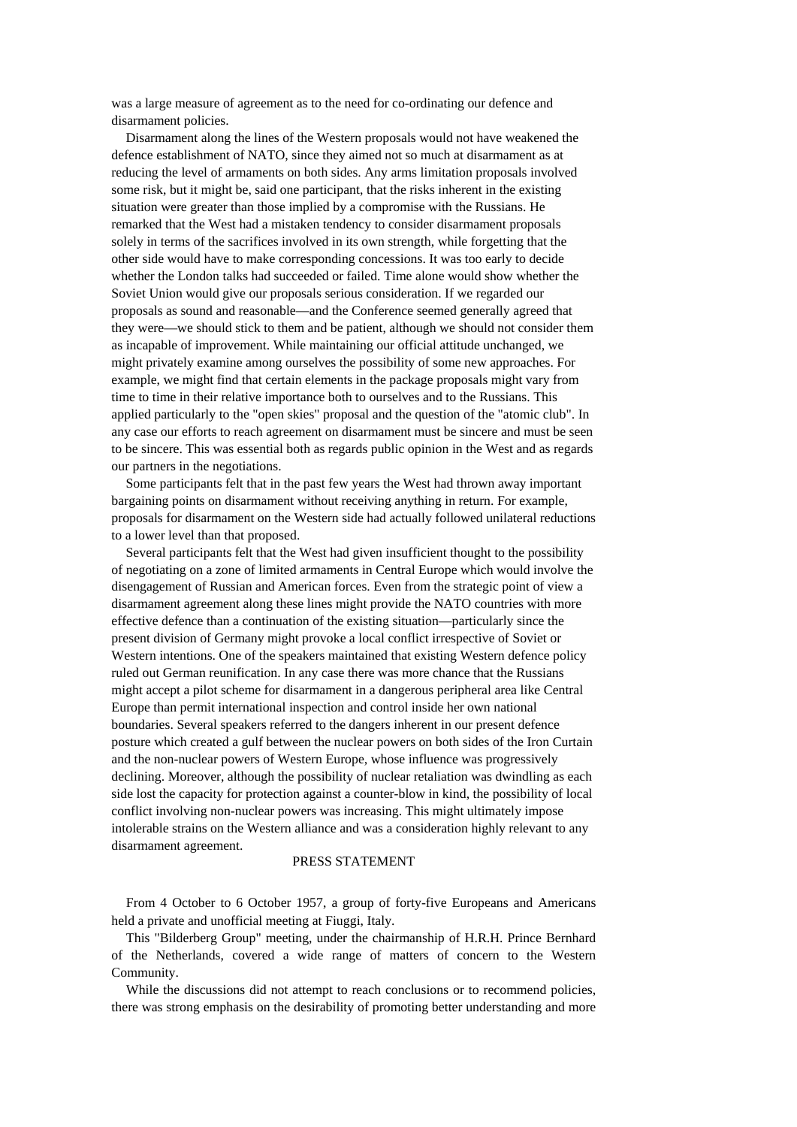was a large measure of agreement as to the need for co-ordinating our defence and disarmament policies.

Disarmament along the lines of the Western proposals would not have weakened the defence establishment of NATO, since they aimed not so much at disarmament as at reducing the level of armaments on both sides. Any arms limitation proposals involved some risk, but it might be, said one participant, that the risks inherent in the existing situation were greater than those implied by a compromise with the Russians. He remarked that the West had a mistaken tendency to consider disarmament proposals solely in terms of the sacrifices involved in its own strength, while forgetting that the other side would have to make corresponding concessions. It was too early to decide whether the London talks had succeeded or failed. Time alone would show whether the Soviet Union would give our proposals serious consideration. If we regarded our proposals as sound and reasonable—and the Conference seemed generally agreed that they were—we should stick to them and be patient, although we should not consider them as incapable of improvement. While maintaining our official attitude unchanged, we might privately examine among ourselves the possibility of some new approaches. For example, we might find that certain elements in the package proposals might vary from time to time in their relative importance both to ourselves and to the Russians. This applied particularly to the "open skies" proposal and the question of the "atomic club". In any case our efforts to reach agreement on disarmament must be sincere and must be seen to be sincere. This was essential both as regards public opinion in the West and as regards our partners in the negotiations.

Some participants felt that in the past few years the West had thrown away important bargaining points on disarmament without receiving anything in return. For example, proposals for disarmament on the Western side had actually followed unilateral reductions to a lower level than that proposed.

Several participants felt that the West had given insufficient thought to the possibility of negotiating on a zone of limited armaments in Central Europe which would involve the disengagement of Russian and American forces. Even from the strategic point of view a disarmament agreement along these lines might provide the NATO countries with more effective defence than a continuation of the existing situation—particularly since the present division of Germany might provoke a local conflict irrespective of Soviet or Western intentions. One of the speakers maintained that existing Western defence policy ruled out German reunification. In any case there was more chance that the Russians might accept a pilot scheme for disarmament in a dangerous peripheral area like Central Europe than permit international inspection and control inside her own national boundaries. Several speakers referred to the dangers inherent in our present defence posture which created a gulf between the nuclear powers on both sides of the Iron Curtain and the non-nuclear powers of Western Europe, whose influence was progressively declining. Moreover, although the possibility of nuclear retaliation was dwindling as each side lost the capacity for protection against a counter-blow in kind, the possibility of local conflict involving non-nuclear powers was increasing. This might ultimately impose intolerable strains on the Western alliance and was a consideration highly relevant to any disarmament agreement.

## PRESS STATEMENT

From 4 October to 6 October 1957, a group of forty-five Europeans and Americans held a private and unofficial meeting at Fiuggi, Italy.

This "Bilderberg Group" meeting, under the chairmanship of H.R.H. Prince Bernhard of the Netherlands, covered a wide range of matters of concern to the Western Community.

While the discussions did not attempt to reach conclusions or to recommend policies, there was strong emphasis on the desirability of promoting better understanding and more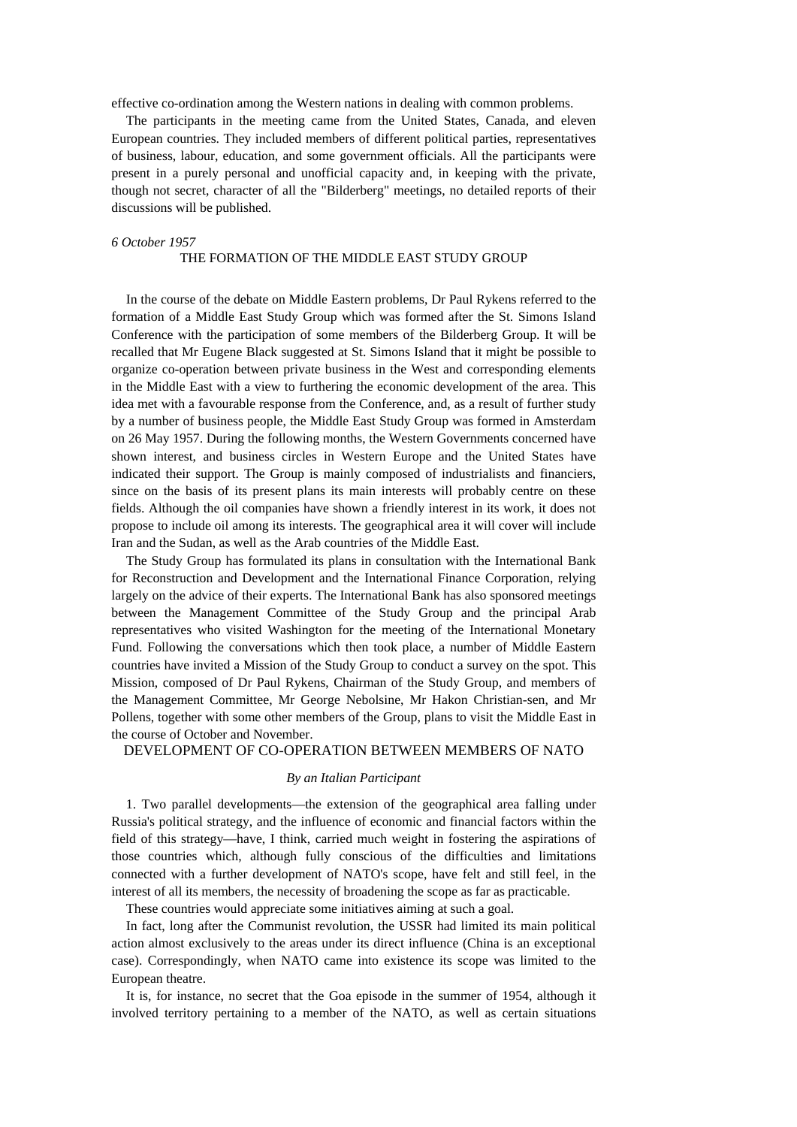effective co-ordination among the Western nations in dealing with common problems.

The participants in the meeting came from the United States, Canada, and eleven European countries. They included members of different political parties, representatives of business, labour, education, and some government officials. All the participants were present in a purely personal and unofficial capacity and, in keeping with the private, though not secret, character of all the "Bilderberg" meetings, no detailed reports of their discussions will be published.

#### *6 October 1957*

## THE FORMATION OF THE MIDDLE EAST STUDY GROUP

In the course of the debate on Middle Eastern problems, Dr Paul Rykens referred to the formation of a Middle East Study Group which was formed after the St. Simons Island Conference with the participation of some members of the Bilderberg Group. It will be recalled that Mr Eugene Black suggested at St. Simons Island that it might be possible to organize co-operation between private business in the West and corresponding elements in the Middle East with a view to furthering the economic development of the area. This idea met with a favourable response from the Conference, and, as a result of further study by a number of business people, the Middle East Study Group was formed in Amsterdam on 26 May 1957. During the following months, the Western Governments concerned have shown interest, and business circles in Western Europe and the United States have indicated their support. The Group is mainly composed of industrialists and financiers, since on the basis of its present plans its main interests will probably centre on these fields. Although the oil companies have shown a friendly interest in its work, it does not propose to include oil among its interests. The geographical area it will cover will include Iran and the Sudan, as well as the Arab countries of the Middle East.

The Study Group has formulated its plans in consultation with the International Bank for Reconstruction and Development and the International Finance Corporation, relying largely on the advice of their experts. The International Bank has also sponsored meetings between the Management Committee of the Study Group and the principal Arab representatives who visited Washington for the meeting of the International Monetary Fund. Following the conversations which then took place, a number of Middle Eastern countries have invited a Mission of the Study Group to conduct a survey on the spot. This Mission, composed of Dr Paul Rykens, Chairman of the Study Group, and members of the Management Committee, Mr George Nebolsine, Mr Hakon Christian-sen, and Mr Pollens, together with some other members of the Group, plans to visit the Middle East in the course of October and November.

## DEVELOPMENT OF CO-OPERATION BETWEEN MEMBERS OF NATO

## *By an Italian Participant*

1. Two parallel developments—the extension of the geographical area falling under Russia's political strategy, and the influence of economic and financial factors within the field of this strategy—have, I think, carried much weight in fostering the aspirations of those countries which, although fully conscious of the difficulties and limitations connected with a further development of NATO's scope, have felt and still feel, in the interest of all its members, the necessity of broadening the scope as far as practicable.

These countries would appreciate some initiatives aiming at such a goal.

In fact, long after the Communist revolution, the USSR had limited its main political action almost exclusively to the areas under its direct influence (China is an exceptional case). Correspondingly, when NATO came into existence its scope was limited to the European theatre.

It is, for instance, no secret that the Goa episode in the summer of 1954, although it involved territory pertaining to a member of the NATO, as well as certain situations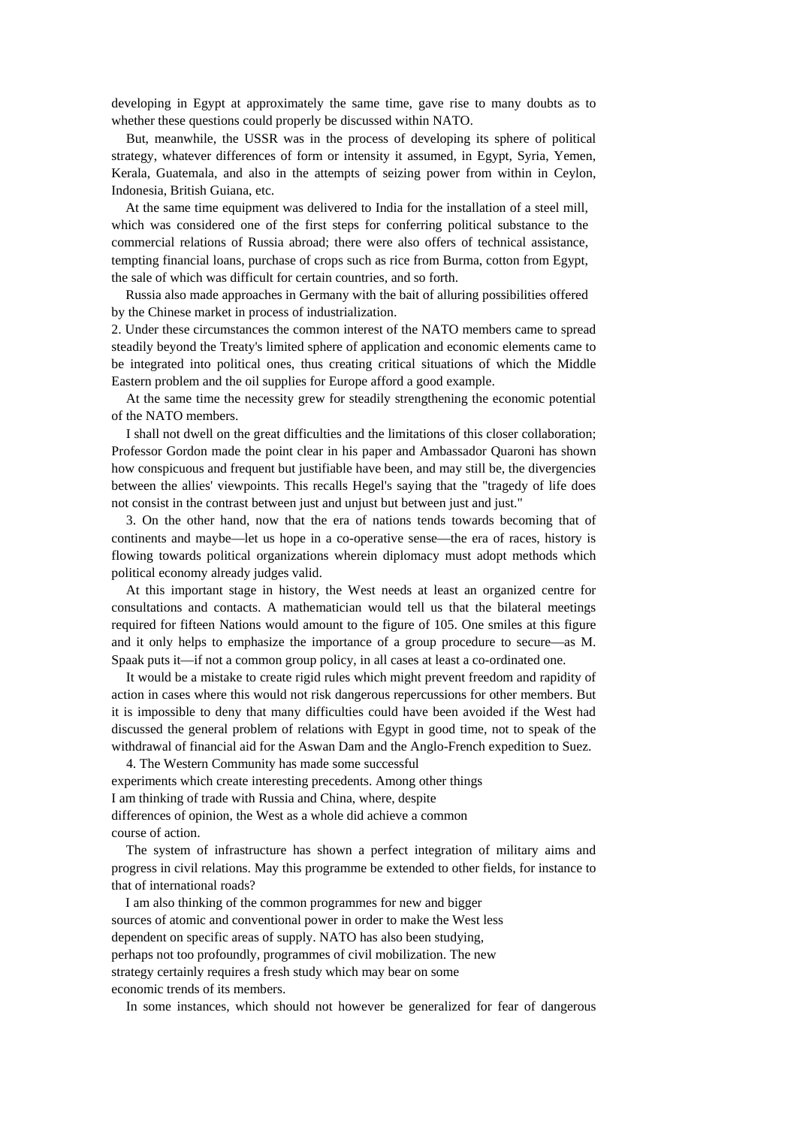developing in Egypt at approximately the same time, gave rise to many doubts as to whether these questions could properly be discussed within NATO.

But, meanwhile, the USSR was in the process of developing its sphere of political strategy, whatever differences of form or intensity it assumed, in Egypt, Syria, Yemen, Kerala, Guatemala, and also in the attempts of seizing power from within in Ceylon, Indonesia, British Guiana, etc.

At the same time equipment was delivered to India for the installation of a steel mill, which was considered one of the first steps for conferring political substance to the commercial relations of Russia abroad; there were also offers of technical assistance, tempting financial loans, purchase of crops such as rice from Burma, cotton from Egypt, the sale of which was difficult for certain countries, and so forth.

Russia also made approaches in Germany with the bait of alluring possibilities offered by the Chinese market in process of industrialization.

2. Under these circumstances the common interest of the NATO members came to spread steadily beyond the Treaty's limited sphere of application and economic elements came to be integrated into political ones, thus creating critical situations of which the Middle Eastern problem and the oil supplies for Europe afford a good example.

At the same time the necessity grew for steadily strengthening the economic potential of the NATO members.

I shall not dwell on the great difficulties and the limitations of this closer collaboration; Professor Gordon made the point clear in his paper and Ambassador Quaroni has shown how conspicuous and frequent but justifiable have been, and may still be, the divergencies between the allies' viewpoints. This recalls Hegel's saying that the "tragedy of life does not consist in the contrast between just and unjust but between just and just."

3. On the other hand, now that the era of nations tends towards becoming that of continents and maybe—let us hope in a co-operative sense—the era of races, history is flowing towards political organizations wherein diplomacy must adopt methods which political economy already judges valid.

At this important stage in history, the West needs at least an organized centre for consultations and contacts. A mathematician would tell us that the bilateral meetings required for fifteen Nations would amount to the figure of 105. One smiles at this figure and it only helps to emphasize the importance of a group procedure to secure—as M. Spaak puts it—if not a common group policy, in all cases at least a co-ordinated one.

It would be a mistake to create rigid rules which might prevent freedom and rapidity of action in cases where this would not risk dangerous repercussions for other members. But it is impossible to deny that many difficulties could have been avoided if the West had discussed the general problem of relations with Egypt in good time, not to speak of the withdrawal of financial aid for the Aswan Dam and the Anglo-French expedition to Suez.

4. The Western Community has made some successful experiments which create interesting precedents. Among other things I am thinking of trade with Russia and China, where, despite differences of opinion, the West as a whole did achieve a common course of action.

The system of infrastructure has shown a perfect integration of military aims and progress in civil relations. May this programme be extended to other fields, for instance to that of international roads?

I am also thinking of the common programmes for new and bigger sources of atomic and conventional power in order to make the West less dependent on specific areas of supply. NATO has also been studying, perhaps not too profoundly, programmes of civil mobilization. The new strategy certainly requires a fresh study which may bear on some economic trends of its members.

In some instances, which should not however be generalized for fear of dangerous